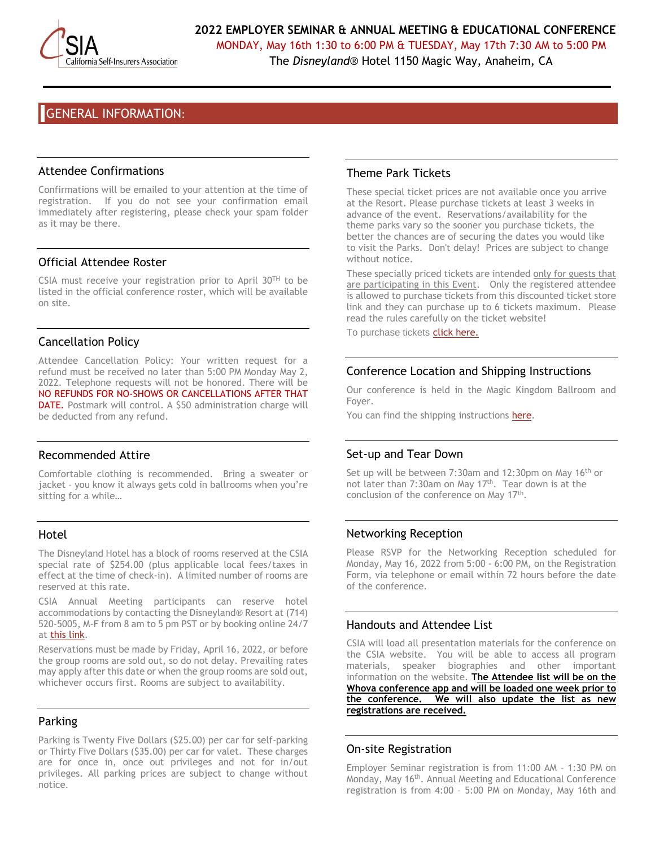

MONDAY, May 16th 1:30 to 6:00 PM & TUESDAY, May 17th 7:30 AM to 5:00 PM The *Disneyland*® Hotel 1150 Magic Way, Anaheim, CA

GENERAL INFORMATION:

## Attendee Confirmations

Confirmations will be emailed to your attention at the time of registration. If you do not see your confirmation email immediately after registering, please check your spam folder as it may be there.

# Official Attendee Roster

CSIA must receive your registration prior to April  $30^{TH}$  to be listed in the official conference roster, which will be available on site.

# Cancellation Policy

Attendee Cancellation Policy: Your written request for a refund must be received no later than 5:00 PM Monday May 2, 2022. Telephone requests will not be honored. There will be NO REFUNDS FOR NO-SHOWS OR CANCELLATIONS AFTER THAT DATE. Postmark will control. A \$50 administration charge will be deducted from any refund.

## Recommended Attire

Comfortable clothing is recommended. Bring a sweater or jacket – you know it always gets cold in ballrooms when you're sitting for a while…

## Hotel

The Disneyland Hotel has a block of rooms reserved at the CSIA special rate of \$254.00 (plus applicable local fees/taxes in effect at the time of check-in). A limited number of rooms are reserved at this rate.

CSIA Annual Meeting participants can reserve hotel accommodations by contacting the Disneyland® Resort at (714) 520-5005, M-F from 8 am to 5 pm PST or by booking online 24/7 at [this link.](https://nam12.safelinks.protection.outlook.com/?url=https%3A%2F%2Fmydisneygroup.com%2Fgdce22a&data=04%7C01%7Cjilldulich%40securityfund.org%7C96eaf328c72a48709fd108d9df5337e5%7C4cf4ef00495241a6aac260e2ee311170%7C1%7C0%7C637786370784717926%7CUnknown%7CTWFpbGZsb3d8eyJWIjoiMC4wLjAwMDAiLCJQIjoiV2luMzIiLCJBTiI6Ik1haWwiLCJXVCI6Mn0%3D%7C3000&sdata=pxlEgArSL%2FHzO80fVmZFOPYcO8d6XYwy0h5C1TMZ27Q%3D&reserved=0)

Reservations must be made by Friday, April 16, 2022, or before the group rooms are sold out, so do not delay. Prevailing rates may apply after this date or when the group rooms are sold out, whichever occurs first. Rooms are subject to availability.

# Parking

Parking is Twenty Five Dollars (\$25.00) per car for self-parking or Thirty Five Dollars (\$35.00) per car for valet. These charges are for once in, once out privileges and not for in/out privileges. All parking prices are subject to change without notice.

# Theme Park Tickets

These special ticket prices are not available once you arrive at the Resort. Please purchase tickets at least 3 weeks in advance of the event. Reservations/availability for the theme parks vary so the sooner you purchase tickets, the better the chances are of securing the dates you would like to visit the Parks. Don't delay! Prices are subject to change without notice.

These specially priced tickets are intended only for guests that are participating in this Event. Only the registered attendee is allowed to purchase tickets from this discounted ticket store link and they can purchase up to 6 tickets maximum. Please read the rules carefully on the ticket website!

To purchase tickets [click here.](https://nam12.safelinks.protection.outlook.com/?url=https%3A%2F%2Fmydisneygroup.com%2Fgdce22a&data=04%7C01%7Cjilldulich%40securityfund.org%7C96eaf328c72a48709fd108d9df5337e5%7C4cf4ef00495241a6aac260e2ee311170%7C1%7C0%7C637786370784717926%7CUnknown%7CTWFpbGZsb3d8eyJWIjoiMC4wLjAwMDAiLCJQIjoiV2luMzIiLCJBTiI6Ik1haWwiLCJXVCI6Mn0%3D%7C3000&sdata=pxlEgArSL%2FHzO80fVmZFOPYcO8d6XYwy0h5C1TMZ27Q%3D&reserved=0)

# Conference Location and Shipping Instructions

Our conference is held in the Magic Kingdom Ballroom and Foyer.

You can find the shipping instructions [here.](file://///CSISF-FS/SharedDrive/USERS/JDULICH/csia%20conference%20stuff/2018%20AM%20Conference/exhibitor%20forms/Disney%20Shipping%20Instructions.pdf)

# Set-up and Tear Down

Set up will be between 7:30am and 12:30pm on May 16<sup>th</sup> or not later than 7:30am on May 17<sup>th</sup>. Tear down is at the conclusion of the conference on May 17<sup>th</sup>.

# Networking Reception

Please RSVP for the Networking Reception scheduled for Monday, May 16, 2022 from 5:00 - 6:00 PM, on the Registration Form, via telephone or email within 72 hours before the date of the conference.

## Handouts and Attendee List

CSIA will load all presentation materials for the conference on the CSIA website. You will be able to access all program materials, speaker biographies and other important information on the website. **The Attendee list will be on the Whova conference app and will be loaded one week prior to the conference. We will also update the list as new registrations are received.**

# On-site Registration

Employer Seminar registration is from 11:00 AM – 1:30 PM on Monday, May 16<sup>th</sup>. Annual Meeting and Educational Conference registration is from 4:00 – 5:00 PM on Monday, May 16th and